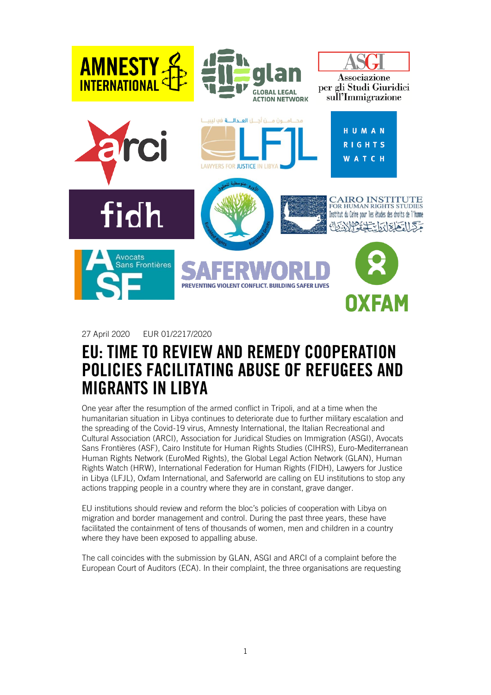

27 April 2020 EUR 01/2217/2020

## EU: TIME TO REVIEW AND REMEDY COOPERATION POLICIES FACILITATING ABUSE OF REFUGEES AND MIGRANTS IN LIBYA

One year after the resumption of the armed conflict in Tripoli, and at a time when the humanitarian situation in Libya continues to deteriorate due to further military escalation and the spreading of the Covid-19 virus, Amnesty International, the Italian Recreational and Cultural Association (ARCI), Association for Juridical Studies on Immigration (ASGI), Avocats Sans Frontières (ASF), Cairo Institute for Human Rights Studies (CIHRS), Euro-Mediterranean Human Rights Network (EuroMed Rights), the Global Legal Action Network (GLAN), Human Rights Watch (HRW), International Federation for Human Rights (FIDH), Lawyers for Justice in Libya (LFJL), Oxfam International, and Saferworld are calling on EU institutions to stop any actions trapping people in a country where they are in constant, grave danger.

EU institutions should review and reform the bloc's policies of cooperation with Libya on migration and border management and control. During the past three years, these have facilitated the containment of tens of thousands of women, men and children in a country where they have been exposed to appalling abuse.

The call coincides with the submission by GLAN, ASGI and ARCI of a complaint before the European Court of Auditors (ECA). In their complaint, the three organisations are requesting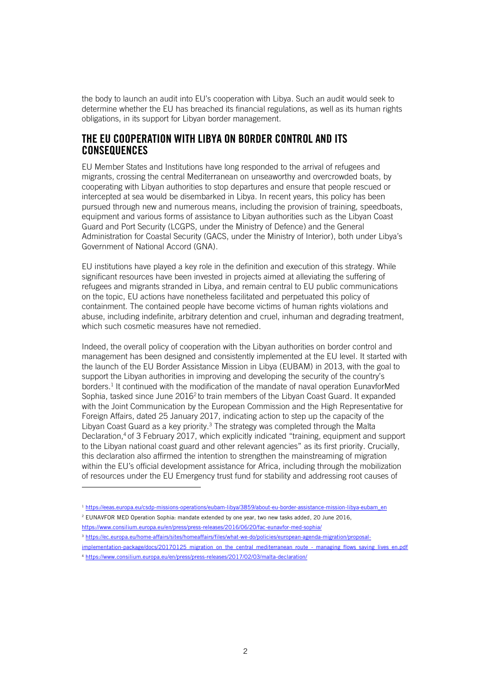the body to launch an audit into EU's cooperation with Libya. Such an audit would seek to determine whether the EU has breached its financial regulations, as well as its human rights obligations, in its support for Libyan border management.

## THE EU COOPERATION WITH LIBYA ON BORDER CONTROL AND ITS **CONSEQUENCES**

EU Member States and Institutions have long responded to the arrival of refugees and migrants, crossing the central Mediterranean on unseaworthy and overcrowded boats, by cooperating with Libyan authorities to stop departures and ensure that people rescued or intercepted at sea would be disembarked in Libya. In recent years, this policy has been pursued through new and numerous means, including the provision of training, speedboats, equipment and various forms of assistance to Libyan authorities such as the Libyan Coast Guard and Port Security (LCGPS, under the Ministry of Defence) and the General Administration for Coastal Security (GACS, under the Ministry of Interior), both under Libya's Government of National Accord (GNA).

EU institutions have played a key role in the definition and execution of this strategy. While significant resources have been invested in projects aimed at alleviating the suffering of refugees and migrants stranded in Libya, and remain central to EU public communications on the topic, EU actions have nonetheless facilitated and perpetuated this policy of containment. The contained people have become victims of human rights violations and abuse, including indefinite, arbitrary detention and cruel, inhuman and degrading treatment, which such cosmetic measures have not remedied.

Indeed, the overall policy of cooperation with the Libyan authorities on border control and management has been designed and consistently implemented at the EU level. It started with the launch of the EU Border Assistance Mission in Libya (EUBAM) in 2013, with the goal to support the Libyan authorities in improving and developing the security of the country's borders.<sup>1</sup> It continued with the modification of the mandate of naval operation EunavforMed Sophia, tasked since June 2016<sup>2</sup> to train members of the Libyan Coast Guard. It expanded with the Joint Communication by the European Commission and the High Representative for Foreign Affairs, dated 25 January 2017, indicating action to step up the capacity of the Libyan Coast Guard as a key priority.<sup>3</sup> The strategy was completed through the Malta Declaration, <sup>4</sup> of 3 February 2017, which explicitly indicated "training, equipment and support to the Libyan national coast guard and other relevant agencies" as its first priority. Crucially, this declaration also affirmed the intention to strengthen the mainstreaming of migration within the EU's official development assistance for Africa, including through the mobilization of resources under the EU Emergency trust fund for stability and addressing root causes of

- <https://www.consilium.europa.eu/en/press/press-releases/2016/06/20/fac-eunavfor-med-sophia/>
- <sup>3</sup> [https://ec.europa.eu/home-affairs/sites/homeaffairs/files/what-we-do/policies/european-agenda-migration/proposal-](https://ec.europa.eu/home-affairs/sites/homeaffairs/files/what-we-do/policies/european-agenda-migration/proposal-implementation-package/docs/20170125_migration_on_the_central_mediterranean_route_-_managing_flows_saving_lives_en.pdf)
- [implementation-package/docs/20170125\\_migration\\_on\\_the\\_central\\_mediterranean\\_route\\_-\\_managing\\_flows\\_saving\\_lives\\_en.pdf](https://ec.europa.eu/home-affairs/sites/homeaffairs/files/what-we-do/policies/european-agenda-migration/proposal-implementation-package/docs/20170125_migration_on_the_central_mediterranean_route_-_managing_flows_saving_lives_en.pdf) <sup>4</sup> <https://www.consilium.europa.eu/en/press/press-releases/2017/02/03/malta-declaration/>

<sup>&</sup>lt;sup>1</sup> [https://eeas.europa.eu/csdp-missions-operations/eubam-libya/3859/about-eu-border-assistance-mission-libya-eubam\\_en](https://eeas.europa.eu/csdp-missions-operations/eubam-libya/3859/about-eu-border-assistance-mission-libya-eubam_en)

<sup>2</sup> EUNAVFOR MED Operation Sophia: mandate extended by one year, two new tasks added, 20 June 2016,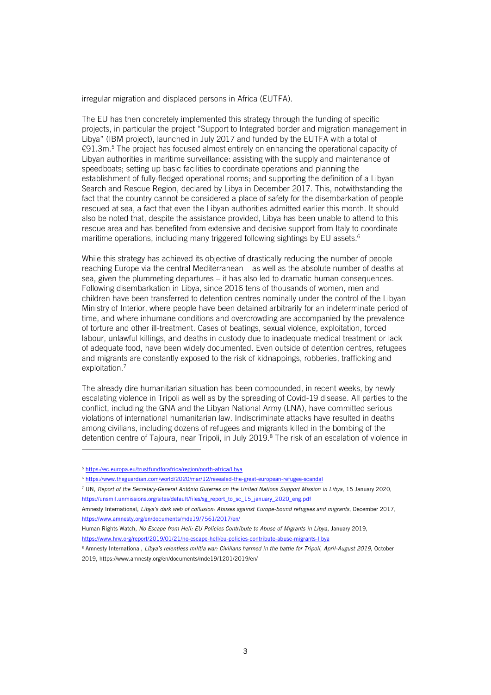irregular migration and displaced persons in Africa (EUTFA).

The EU has then concretely implemented this strategy through the funding of specific projects, in particular the project "Support to Integrated border and migration management in Libya" (IBM project), launched in July 2017 and funded by the EUTFA with a total of €91.3m. <sup>5</sup> The project has focused almost entirely on enhancing the operational capacity of Libyan authorities in maritime surveillance: assisting with the supply and maintenance of speedboats; setting up basic facilities to coordinate operations and planning the establishment of fully-fledged operational rooms; and supporting the definition of a Libyan Search and Rescue Region, declared by Libya in December 2017. This, notwithstanding the fact that the country cannot be considered a place of safety for the disembarkation of people rescued at sea, a fact that even the Libyan authorities admitted earlier this month. It should also be noted that, despite the assistance provided, Libya has been unable to attend to this rescue area and has benefited from extensive and decisive support from Italy to coordinate maritime operations, including many triggered following sightings by EU assets. 6

While this strategy has achieved its objective of drastically reducing the number of people reaching Europe via the central Mediterranean – as well as the absolute number of deaths at sea, given the plummeting departures – it has also led to dramatic human consequences. Following disembarkation in Libya, since 2016 tens of thousands of women, men and children have been transferred to detention centres nominally under the control of the Libyan Ministry of Interior, where people have been detained arbitrarily for an indeterminate period of time, and where inhumane conditions and overcrowding are accompanied by the prevalence of torture and other ill-treatment. Cases of beatings, sexual violence, exploitation, forced labour, unlawful killings, and deaths in custody due to inadequate medical treatment or lack of adequate food, have been widely documented. Even outside of detention centres, refugees and migrants are constantly exposed to the risk of kidnappings, robberies, trafficking and exploitation.<sup>7</sup>

The already dire humanitarian situation has been compounded, in recent weeks, by newly escalating violence in Tripoli as well as by the spreading of Covid-19 disease. All parties to the conflict, including the GNA and the Libyan National Army (LNA), have committed serious violations of international humanitarian law. Indiscriminate attacks have resulted in deaths among civilians, including dozens of refugees and migrants killed in the bombing of the detention centre of Tajoura, near Tripoli, in July 2019.<sup>8</sup> The risk of an escalation of violence in

<sup>5</sup> <https://ec.europa.eu/trustfundforafrica/region/north-africa/libya>

<sup>6</sup> <https://www.theguardian.com/world/2020/mar/12/revealed-the-great-european-refugee-scandal>

<sup>7</sup> UN, *Report of the Secretary-General António Guterres on the United Nations Support Mission in Libya*, 15 January 2020, [https://unsmil.unmissions.org/sites/default/files/sg\\_report\\_to\\_sc\\_15\\_january\\_2020\\_eng.pdf](https://unsmil.unmissions.org/sites/default/files/sg_report_to_sc_15_january_2020_eng.pdf)

Amnesty International, *Libya's dark web of collusion: Abuses against Europe-bound refugees and migrants*, December 2017, <https://www.amnesty.org/en/documents/mde19/7561/2017/en/>

Human Rights Watch, *No Escape from Hell: EU Policies Contribute to Abuse of Migrants in Libya*, January 2019, <https://www.hrw.org/report/2019/01/21/no-escape-hell/eu-policies-contribute-abuse-migrants-libya>

<sup>&</sup>lt;sup>8</sup> Amnesty International, *Libya's relentless militia war: Civilians harmed in the battle for Tripoli, April-August 2019*, October 2019, https://www.amnesty.org/en/documents/mde19/1201/2019/en/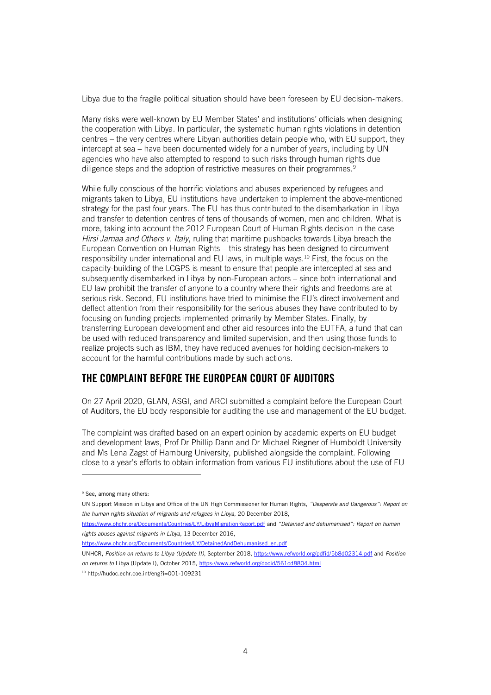Libya due to the fragile political situation should have been foreseen by EU decision-makers.

Many risks were well-known by EU Member States' and institutions' officials when designing the cooperation with Libya. In particular, the systematic human rights violations in detention centres – the very centres where Libyan authorities detain people who, with EU support, they intercept at sea – have been documented widely for a number of years, including by UN agencies who have also attempted to respond to such risks through human rights due diligence steps and the adoption of restrictive measures on their programmes.<sup>9</sup>

While fully conscious of the horrific violations and abuses experienced by refugees and migrants taken to Libya, EU institutions have undertaken to implement the above-mentioned strategy for the past four years. The EU has thus contributed to the disembarkation in Libya and transfer to detention centres of tens of thousands of women, men and children. What is more, taking into account the 2012 European Court of Human Rights decision in the case *Hirsi Jamaa and Others v. Italy*, ruling that maritime pushbacks towards Libya breach the European Convention on Human Rights – this strategy has been designed to circumvent responsibility under international and EU laws, in multiple ways.<sup>10</sup> First, the focus on the capacity-building of the LCGPS is meant to ensure that people are intercepted at sea and subsequently disembarked in Libya by non-European actors – since both international and EU law prohibit the transfer of anyone to a country where their rights and freedoms are at serious risk. Second, EU institutions have tried to minimise the EU's direct involvement and deflect attention from their responsibility for the serious abuses they have contributed to by focusing on funding projects implemented primarily by Member States. Finally, by transferring European development and other aid resources into the EUTFA, a fund that can be used with reduced transparency and limited supervision, and then using those funds to realize projects such as IBM, they have reduced avenues for holding decision-makers to account for the harmful contributions made by such actions.

## THE COMPLAINT BEFORE THE EUROPEAN COURT OF AUDITORS

On 27 April 2020, GLAN, ASGI, and ARCI submitted a complaint before the European Court of Auditors, the EU body responsible for auditing the use and management of the EU budget.

The complaint was drafted based on an expert opinion by academic experts on EU budget and development laws, Prof Dr Phillip Dann and Dr Michael Riegner of Humboldt University and Ms Lena Zagst of Hamburg University, published alongside the complaint. Following close to a year's efforts to obtain information from various EU institutions about the use of EU

UNHCR, *Position on returns to Libya (Update II)*, September 2018,<https://www.refworld.org/pdfid/5b8d02314.pdf> and *Position on returns to* Libya (Update I), October 2015[, https://www.refworld.org/docid/561cd8804.html](https://www.refworld.org/docid/561cd8804.html)

<sup>9</sup> See, among many others:

UN Support Mission in Libya and Office of the UN High Commissioner for Human Rights, *"Desperate and Dangerous": Report on the human rights situation of migrants and refugees in Libya*, 20 December 2018,

<https://www.ohchr.org/Documents/Countries/LY/LibyaMigrationReport.pdf> and *"Detained and dehumanised": Report on human rights abuses against migrants in Libya*, 13 December 2016,

[https://www.ohchr.org/Documents/Countries/LY/DetainedAndDehumanised\\_en.pdf](https://www.ohchr.org/Documents/Countries/LY/DetainedAndDehumanised_en.pdf)

<sup>10</sup> http://hudoc.echr.coe.int/eng?i=001-109231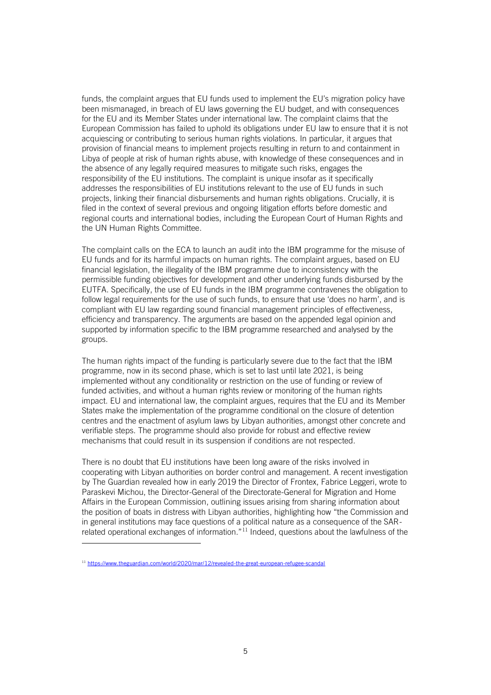funds, the complaint argues that EU funds used to implement the EU's migration policy have been mismanaged, in breach of EU laws governing the EU budget, and with consequences for the EU and its Member States under international law. The complaint claims that the European Commission has failed to uphold its obligations under EU law to ensure that it is not acquiescing or contributing to serious human rights violations. In particular, it argues that provision of financial means to implement projects resulting in return to and containment in Libya of people at risk of human rights abuse, with knowledge of these consequences and in the absence of any legally required measures to mitigate such risks, engages the responsibility of the EU institutions. The complaint is unique insofar as it specifically addresses the responsibilities of EU institutions relevant to the use of EU funds in such projects, linking their financial disbursements and human rights obligations. Crucially, it is filed in the context of several previous and ongoing litigation efforts before domestic and regional courts and international bodies, including the European Court of Human Rights and the UN Human Rights Committee.

The complaint calls on the ECA to launch an audit into the IBM programme for the misuse of EU funds and for its harmful impacts on human rights. The complaint argues, based on EU financial legislation, the illegality of the IBM programme due to inconsistency with the permissible funding objectives for development and other underlying funds disbursed by the EUTFA. Specifically, the use of EU funds in the IBM programme contravenes the obligation to follow legal requirements for the use of such funds, to ensure that use 'does no harm', and is compliant with EU law regarding sound financial management principles of effectiveness, efficiency and transparency. The arguments are based on the appended legal opinion and supported by information specific to the IBM programme researched and analysed by the groups.

The human rights impact of the funding is particularly severe due to the fact that the IBM programme, now in its second phase, which is set to last until late 2021, is being implemented without any conditionality or restriction on the use of funding or review of funded activities, and without a human rights review or monitoring of the human rights impact. EU and international law, the complaint argues, requires that the EU and its Member States make the implementation of the programme conditional on the closure of detention centres and the enactment of asylum laws by Libyan authorities, amongst other concrete and verifiable steps. The programme should also provide for robust and effective review mechanisms that could result in its suspension if conditions are not respected.

There is no doubt that EU institutions have been long aware of the risks involved in cooperating with Libyan authorities on border control and management. A recent investigation by The Guardian revealed how in early 2019 the Director of Frontex, Fabrice Leggeri, wrote to Paraskevi Michou, the Director-General of the Directorate-General for Migration and Home Affairs in the European Commission, outlining issues arising from sharing information about the position of boats in distress with Libyan authorities, highlighting how "the Commission and in general institutions may face questions of a political nature as a consequence of the SARrelated operational exchanges of information."<sup>11</sup> Indeed, questions about the lawfulness of the

<sup>11</sup> <https://www.theguardian.com/world/2020/mar/12/revealed-the-great-european-refugee-scandal>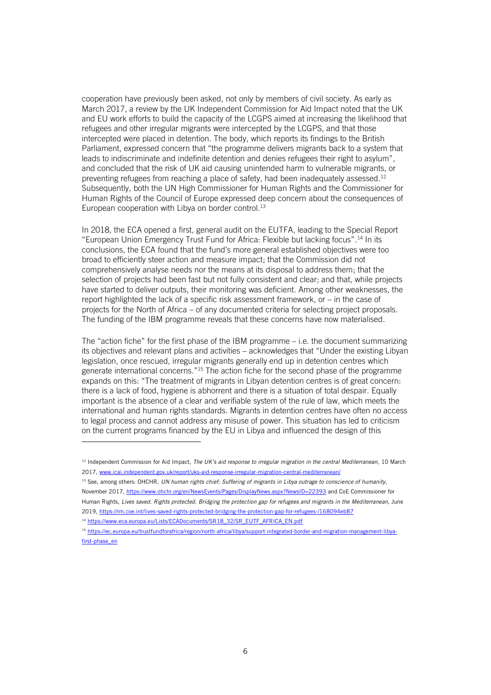cooperation have previously been asked, not only by members of civil society. As early as March 2017, a review by the UK Independent Commission for Aid Impact noted that the UK and EU work efforts to build the capacity of the LCGPS aimed at increasing the likelihood that refugees and other irregular migrants were intercepted by the LCGPS, and that those intercepted were placed in detention. The body, which reports its findings to the British Parliament, expressed concern that "the programme delivers migrants back to a system that leads to indiscriminate and indefinite detention and denies refugees their right to asylum", and concluded that the risk of UK aid causing unintended harm to vulnerable migrants, or preventing refugees from reaching a place of safety, had been inadequately assessed.<sup>12</sup> Subsequently, both the UN High Commissioner for Human Rights and the Commissioner for Human Rights of the Council of Europe expressed deep concern about the consequences of European cooperation with Libya on border control.<sup>13</sup>

In 2018, the ECA opened a first, general audit on the EUTFA, leading to the Special Report "European Union Emergency Trust Fund for Africa: Flexible but lacking focus". <sup>14</sup> In its conclusions, the ECA found that the fund's more general established objectives were too broad to efficiently steer action and measure impact; that the Commission did not comprehensively analyse needs nor the means at its disposal to address them; that the selection of projects had been fast but not fully consistent and clear; and that, while projects have started to deliver outputs, their monitoring was deficient. Among other weaknesses, the report highlighted the lack of a specific risk assessment framework, or – in the case of projects for the North of Africa – of any documented criteria for selecting project proposals. The funding of the IBM programme reveals that these concerns have now materialised.

The "action fiche" for the first phase of the IBM programme – i.e. the document summarizing its objectives and relevant plans and activities – acknowledges that "Under the existing Libyan legislation, once rescued, irregular migrants generally end up in detention centres which generate international concerns." <sup>15</sup> The action fiche for the second phase of the programme expands on this: "The treatment of migrants in Libyan detention centres is of great concern: there is a lack of food, hygiene is abhorrent and there is a situation of total despair. Equally important is the absence of a clear and verifiable system of the rule of law, which meets the international and human rights standards. Migrants in detention centres have often no access to legal process and cannot address any misuse of power. This situation has led to criticism on the current programs financed by the EU in Libya and influenced the design of this

<sup>13</sup> See, among others: OHCHR, *UN human rights chief: Suffering of migrants in Libya outrage to conscience of humanity*, November 2017[, https://www.ohchr.org/en/NewsEvents/Pages/DisplayNews.aspx?NewsID=22393](https://www.ohchr.org/en/NewsEvents/Pages/DisplayNews.aspx?NewsID=22393) and CoE Commissioner for Human Rights, *Lives saved. Rights protected. Bridging the protection gap for refugees and migrants in the Mediterranean*, June 2019[, https://rm.coe.int/lives-saved-rights-protected-bridging-the-protection-gap-for-refugees-/168094eb87](https://rm.coe.int/lives-saved-rights-protected-bridging-the-protection-gap-for-refugees-/168094eb87)

<sup>&</sup>lt;sup>12</sup> Independent Commission for Aid Impact, *The UK's aid response to irregular migration in the central Mediterranean*, 10 March 2017[, www.icai.independent.gov.uk/report/uks-aid-response-irregular-migration-central-mediterranean/](http://www.icai.independent.gov.uk/report/uks-aid-response-irregular-migration-central-mediterranean/)

<sup>14</sup> [https://www.eca.europa.eu/Lists/ECADocuments/SR18\\_32/SR\\_EUTF\\_AFRICA\\_EN.pdf](https://www.eca.europa.eu/Lists/ECADocuments/SR18_32/SR_EUTF_AFRICA_EN.pdf)

<sup>15</sup> [https://ec.europa.eu/trustfundforafrica/region/north-africa/libya/support-integrated-border-and-migration-management-libya](https://ec.europa.eu/trustfundforafrica/region/north-africa/libya/support-integrated-border-and-migration-management-libya-first-phase_en)[first-phase\\_en](https://ec.europa.eu/trustfundforafrica/region/north-africa/libya/support-integrated-border-and-migration-management-libya-first-phase_en)